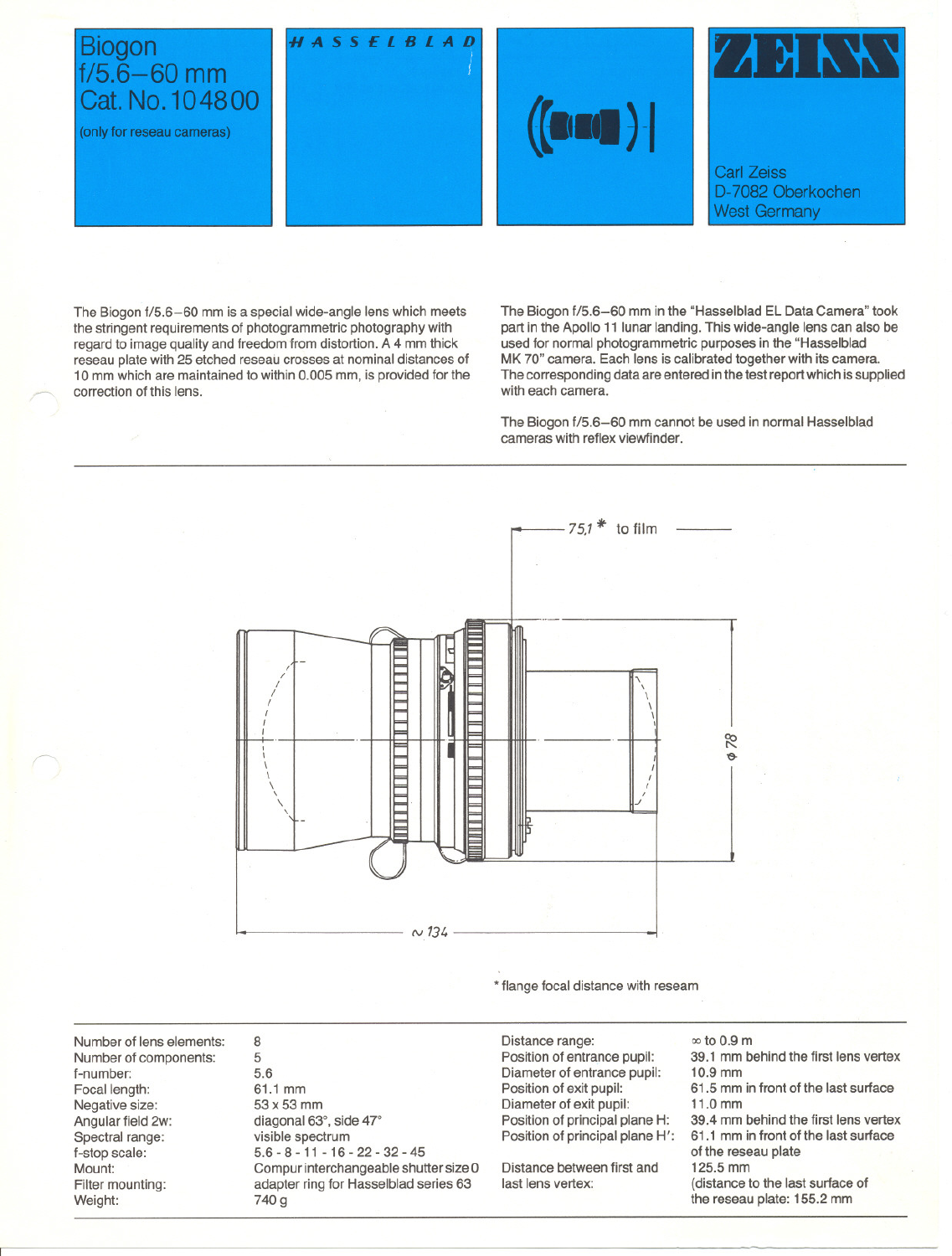

The Biogon f/5.6-60 mm is a special wide-angle lens which meets the stringent requirements of photogrammetric photography with regard to image quality and freedom from distortion. A 4 mm thick reseau plate with 25 etched reseau crosses at nominal distances of 10 mm which are maintained to within 0.005 mm, is provided for the correction of this leng.

The Biogon f/5.6-60 mm in the "Hasselblad **EL** Data Camera" took part in the Apollo 11 lunar landing. This wide-angle leng can also be used for normal photogrammetric purposes in the "Hasselblad MK 70" camera. Each lens is calibrated together with its camera. The corresponding data are entered in the test report which is supplied with each camera.

The Biogon f/5.6-60 mm cannot be used in normal Hasselblad cameras with reflex viewfinder.



\* flange focal distance with reseam

Number of leng elements: Number of components: f-number: Focal length: Negative size: Angular field 2w: Spectral range: f-stop scala: Mount: Filter mounting: Weight:

~

8 5 5.6 61.1 mm 53 x 53 mm diagonal 63°, side 47° visible spectrum 5.6 - 8 - 11 - 16 - 22 - 32 - 45 Compur interchangeable shutter size 0 adapter ring for Hasselblad series 63 740g

Distance range: Position of entrance pupiI: Diameter of entrance pupiI: Position of exit pupiI: Diameter of exit pupiI: Position of principal plane H: Position of principal plane H/:

Distance between first and last lens vertex:

 $\infty$  to 0.9 m 39.1 mm behind the first leng vertex 10.9 mm 61.5 mm in front of the last surface 11.0 mm 39.4 mm behind the first leng vertex 61.1 mm in front of the last surface of the reseau plate 125.5mm (distance to the last surface of the reseau plate: 155.2 mm